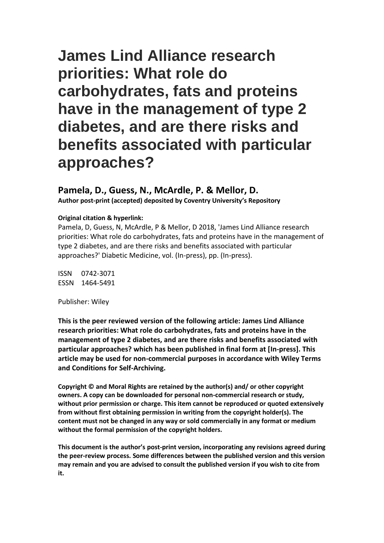# **James Lind Alliance research priorities: What role do carbohydrates, fats and proteins have in the management of type 2 diabetes, and are there risks and benefits associated with particular approaches?**

# **Pamela, D., Guess, N., McArdle, P. & Mellor, D.**

**Author post-print (accepted) deposited by Coventry University's Repository**

## **Original citation & hyperlink:**

Pamela, D, Guess, N, McArdle, P & Mellor, D 2018, 'James Lind Alliance research priorities: What role do carbohydrates, fats and proteins have in the management of type 2 diabetes, and are there risks and benefits associated with particular approaches?' Diabetic Medicine, vol. (In-press), pp. (In-press).

ISSN 0742-3071 ESSN 1464-5491

Publisher: Wiley

**This is the peer reviewed version of the following article: James Lind Alliance research priorities: What role do carbohydrates, fats and proteins have in the management of type 2 diabetes, and are there risks and benefits associated with particular approaches? which has been published in final form at [In-press]. This article may be used for non-commercial purposes in accordance with Wiley Terms and Conditions for Self-Archiving.**

**Copyright © and Moral Rights are retained by the author(s) and/ or other copyright owners. A copy can be downloaded for personal non-commercial research or study, without prior permission or charge. This item cannot be reproduced or quoted extensively from without first obtaining permission in writing from the copyright holder(s). The content must not be changed in any way or sold commercially in any format or medium without the formal permission of the copyright holders.** 

**This document is the author's post-print version, incorporating any revisions agreed during the peer-review process. Some differences between the published version and this version may remain and you are advised to consult the published version if you wish to cite from it.**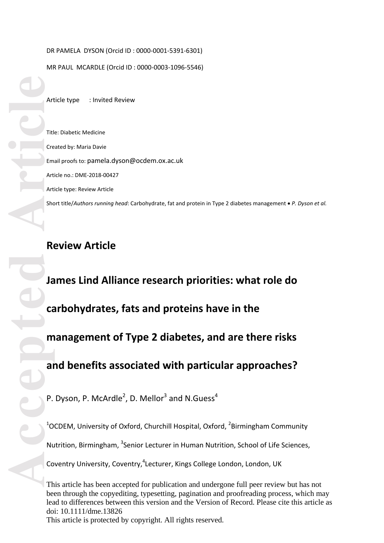## DR PAMELA DYSON (Orcid ID : 0000 -0001 -5391 -6301)

MR PAUL MCARDLE (Orcid ID : 0000 -0003 -1096 -5546)

Article type : Invited Review

Title: Diabetic Medicine Created by: Maria Davie Email proofs to: pamela.dyson@ocdem.ox.ac.uk Article no.: DME -2018 -00427 Article type: Review Article Short title/*Authors running head*: Carbohydrate, fat and protein in Type 2 diabetes management *P. Dyson et al.*

# **Review Article**

Article<br> **Accepted Article**<br> **Article**<br> **Article**<br> **Article**<br> **Article**<br> **Article**<br> **Article**<br> **Article**<br> **Article**<br> **Article**<br> **Article**<br> **Article**<br> **Article James Lind Alliance research priorities: what role do carbohydrates, fats and proteins have in the management of Type 2 diabetes, and are there risks and benefits associated with particular approaches?**

P. Dyson, P. McArdle<sup>2</sup>, D. Mellor<sup>3</sup> and N.Guess<sup>4</sup>

 $1$ OCDEM, University of Oxford, Churchill Hospital, Oxford,  $2$ Birmingham Community Nutrition, Birmingham, <sup>3</sup>Senior Lecturer in Human Nutrition, School of Life Sciences, Coventry University, Coventry, <sup>4</sup>Lecturer, Kings College London, London, UK

This article has been accepted for publication and undergone full peer review but has not been through the copyediting, typesetting, pagination and proofreading process, which may lead to differences between this version and the Version of Record. Please cite this article as doi: 10.1111/dme.13826 This article is protected by copyright. All rights reserved.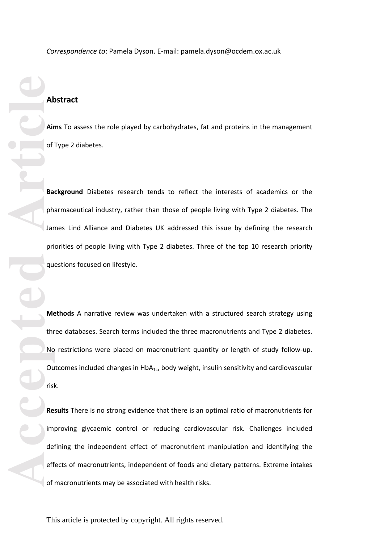*Correspondence to*: Pamela Dyson. E -mail: pamela.dyson@ocdem.ox.ac.uk

## **Abstract**

**Aims** To assess the role played by carbohydrates, fat and proteins in the management of Type 2 diabetes .

**Background** Diabetes research tends to reflect the interests of academics or the pharmaceutical industry, rather than those of people living with Type 2 diabetes. The James Lind Alliance and Diabetes UK addressed this issue by defining the research priorities of people living with Type 2 diabetes. Three of the top 10 research priority questions focused on lifestyle.

**Methods** A narrative review was undertaken with a structured search strategy using three databases. Search terms included the three macronutrients and Type 2 diabetes. No restrictions were placed on macronutrient quantity or length of study follow -up. Outcomes included changes in  $HbA_{1c}$ , body weight, insulin sensitivity and cardiovascular risk.

**Results** There is no strong evidence that there is an optimal ratio of macronutrients for improving glycaemic control or reducing cardiovascular risk. Challenges included defining the independent effect of macronutrient manipulation and identifying the effects of macronutrients, independent of foods and dietary patterns. Extreme intakes of macronutrients may be associated with health risks .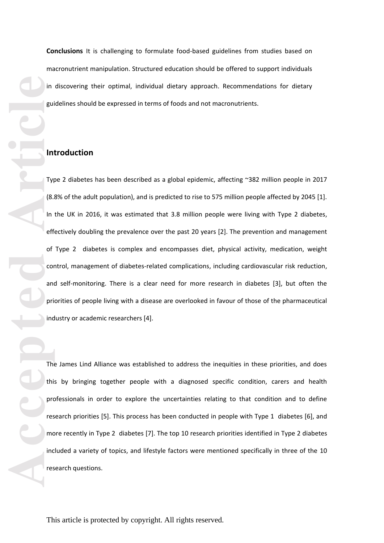**Conclusions** It is challenging to formulate food -based guidelines from studies based on macronutrient manipulation. Structured education should be offered to support individuals in discovering their optimal, individual dietary approach. Recommendations for dietary guidelines should be expressed in terms of foods and not macronutrients .

## **Introduction**

**Accepted Article Article Article Property Article Property Property Property Property Property Property Property Property Property Property Property Property Property Property Property Property Property Property P** Type 2 diabetes has been described as a global epidemic, affecting ~382 million people in 2017 (8.8% of the adult population), and is predicted to rise to 575 million people affected by 2045 [1]. In the UK in 2016, it was estimated that 3.8 million people were living with Type 2 diabetes, effectively doubling the prevalence over the past 20 years [2]. The prevention and management of Type 2 diabetes is complex and encompasses diet, physical activity, medication, weight control, management of diabetes-related complications, including cardiovascular risk reduction, and self -monitoring. There is a clear need for more research in diabetes [3], but often the priorities of people living with a disease are overlooked in favour of those of the pharmaceutical industry or academic researchers [4].

The James Lind Alliance was established to address the inequities in these priorities, and does this by bringing together people with a diagnosed specific condition, carers and health professionals in order to explore the uncertainties relating to that condition and to define research priorities [5]. This process has been conducted in people with Type 1 diabetes [6], and more recently in Type 2 diabetes [7]. The top 10 research priorities identified in Type 2 diabetes included a variety of topics, and lifestyle factors were mentioned specifically in three of the 10 research questions.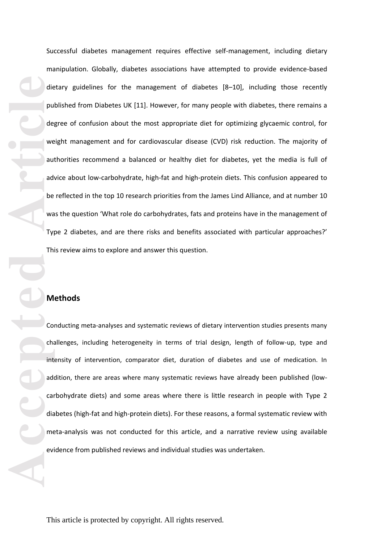die pu<br>
die pu<br>
de<sub>i</sub> we<br>
au' de<sub>i</sub> we<br>
au' de<sub>i</sub> we<br>
au' dei we<br>
TVI Thi<br>
TVI Thi<br>
TVI Thi<br>
Co<br>
chat<br>
add<br>
car<br>
dia me<br>
evi Successful diabetes management requires effective self -management, including dietary manipulation. Globally, diabetes associations have attempted to provide evidence -based dietary guidelines for the management of diabetes [8 –10], including those recently published from Diabetes UK [11]. However, for many people with diabetes, there remains a degree of confusion about the most appropriate diet for optimi zing glycaemic control, for weight management and for cardiovascular disease (CVD) risk reduction. The majority of authorities recommend a balanced or healthy diet for diabetes, yet the media is full of advice about low-carbohydrate, high-fat and high-protein diets. This confusion appeared to be reflected in the top 10 research priorities from the James Lind Alliance , and at number 10 was the question 'What role do carbohydrates, fats and proteins have in the management of Type 2 diabetes, and are there risks and benefits associated with particular approaches?' This review aims to explore and answer this question.

## **Methods**

Conducting meta -analyses and systematic reviews of dietary intervention studies presents many challenges, including heterogeneity in terms of trial design, length of follow -up, type and intensity of intervention, comparator diet, duration of diabetes and use of medication. In addition, there are areas where many systematic reviews have already been published (low carbohydrate diets) and some areas where there is little research in people with Type 2 diabetes (high-fat and high-protein diets). For these reasons, a formal systematic review with meta -analysis was not conducted for this article, and a narrative review using available evidence from published reviews and individual studies was undertaken.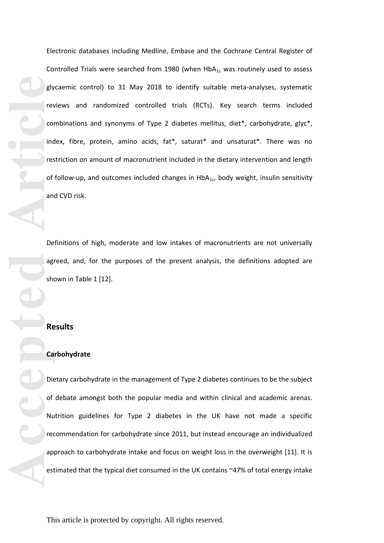Electronic databases including Medline, Embase and the Cochrane Central Register of Controlled Trials were searched from 1980 (when  $HbA_{1c}$  was routinely used to assess glycaemic control) to 31 May 2018 to identify suitable meta -analyses, systematic reviews and randomi zed controlled trials (RCTs). Key search terms included combinations and synonyms of Type 2 diabetes mellitus, diet\*, carbohydrate, glyc\*, index, fibre, protein, amino acids, fat\*, saturat\* and unsaturat\*. There was no restriction on amount of macronutrient included in the dietary intervention and length of follow-up, and outcomes included changes in  $HbA_{1c}$ , body weight, insulin sensitivity and CVD risk.

Definitions of high, moderate and low intakes of macronutrients are not universally agreed, and , for the purposes of the present analysis, the definitions adopted are shown in Table 1 [12].

## **Results**

### **Carbohydrate**

**Accepted Article**<br> **Article**<br> **Article**<br> **Article**<br> **Article**<br> **Article**<br> **Article**<br> **Article**<br> **Article**<br> **Article**<br> **Article**<br> **Article**<br> **Article**<br> **Article**<br> **Article**<br> **Article**<br> **Article**<br> **Article**<br> **Article**<br> **A** Dietary carbohydrate in the management of Type 2 diabetes continues to be the subject of debate amongst both the popular media and within clinical and academic arenas. Nutrition guidelines for Type 2 diabetes in the UK have not made a specific recommendation for carbohydrate since 2011, but instead encourage an individuali zed approach to carbohydrate intake and focus on weight loss in the overweight [11]. It is estimated that the typical diet consumed in the UK contains ~47% of total energy intake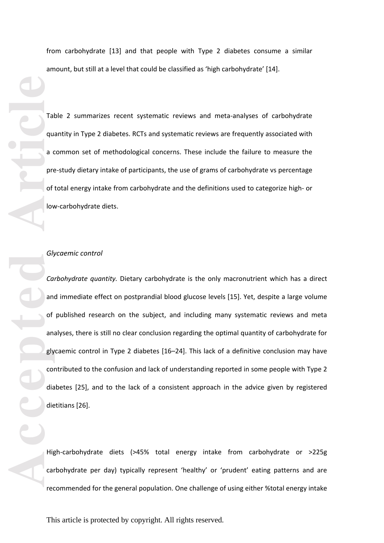from carbohydrate [13] and that people with Type 2 diabetes consume a similar amount, but still at a level that could be classified as 'high carbohydrate' [14].

Table 2 summari zes recent systematic reviews and meta -analyses of carbohydrate quantity in Type 2 diabetes. RCTs and systematic reviews are frequently associated with a common set of methodological concerns. These include the failure to measure the pre -study dietary intake of participants, the use of grams of carbohydrate vs percentage of total energy intake from carbohydrate and the definitions used to categorize high- or low -carbohydrate diets.

#### *Glycaemic control*

**Example 1** Tal que de la contra de la contra de la contra de la contra de la contra de la contra de la contra de la contra de la contra de la contra de la contra de la contra de la contra de la contra de la contra de la c *Carbohydrate quantity.* Dietary carbohydrate is the only macronutrient which has a direct and immediate effect on postprandial blood glucose levels [15]. Yet, despite a large volume of published research on the subject , and including many systematic reviews and meta analyses, there is still no clear conclusion regarding the optimal quantity of carbohydrate for glycaemic control in Type 2 diabetes [16 –24]. This lack of a definitive conclusion may have contributed to the confusion and lack of understanding reported in some people with Type 2 diabetes [25], and to the lack of a consistent approach in the advice given by registered dietitians [26].

High -carbohydrate diets (>45% total energy intake from carbohydrate or >225g carbohydrate per day) typically represent 'healthy' or 'prudent' eating patterns and are recommended for the general population. One challenge of using either %total energy intake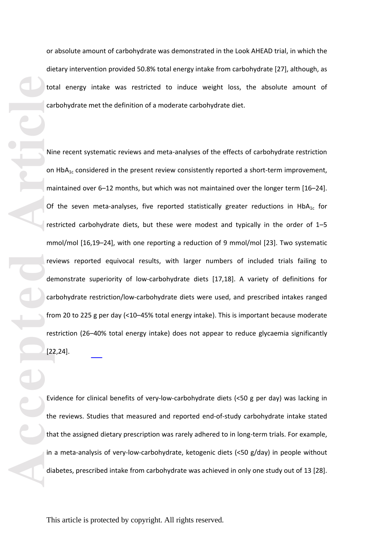or absolute amount of carbohydrate was demonstrated in the Look AHEAD trial, in which the dietary intervention provided 50.8% total energy intake from carbohydrate [27] , although, as total energy intake was restricted to induce weight loss, the absolute amount of carbohydrate met the definition of a moderate carbohydrate diet.

**Accepted Article**<br> **Article**<br> **Article**<br> **Article**<br> **Article**<br> **Article**<br> **Article**<br> **Article**<br> **Article**<br> **Article**<br> **Article**<br> **Article**<br> **Article**<br> **Article**<br> **Article**<br> **Article**<br> **Article**<br> **Article**<br> **Article**<br> **A** Nine recent systematic reviews and meta -analyses of the effects of carbohydrate restriction on  $HbA_{1c}$  considered in the present review consistently reported a short-term improvement, maintained over 6–12 months, but which was not maintained over the longer term [16–24]. Of the seven meta-analyses, five reported statistically greater reductions in  $HbA_{1c}$  for restricted carbohydrate diets, but these were modest and typically in the order of 1 – 5 mmol/mol [16,19 –24], with one reporting a reduction of 9 mmol/mol [23]. Two systematic reviews reported equivocal results , with larger numbers of included trials failing to demonstrate superiority of low -carbohydrate diets [17,18]. A variety of definitions for carbohydrate restriction/low-carbohydrate diets were used, and prescribed intakes ranged from 20 to 225 g per day (<10–45% total energy intake). This is important because moderate restriction (26 –40% total energy intake) does not appear to reduce glycaemia significantly [22,24].

Evidence for clinical benefits of very -low -carbohydrate diets (<50 g per day) was lacking in the reviews. Studies that measured and reported end-of-study carbohydrate intake stated that the assigned dietary prescription was rarely adhered to in long -term trials. For example, in a meta-analysis of very-low-carbohydrate, ketogenic diets (<50 g/day) in people without diabetes, prescribed intake from carbohydrate was achieved in only one study out of 13 [28].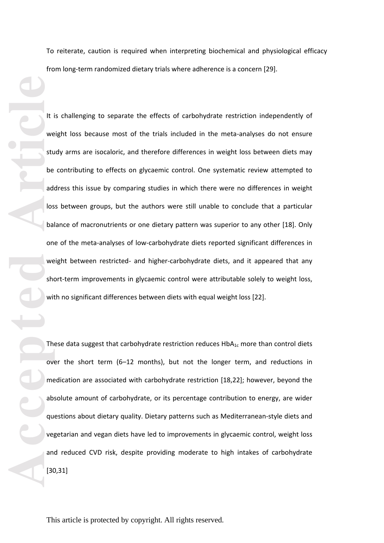To reiterate, caution is required when interpreting biochemical and physiological efficacy from long -term randomi zed dietary trials where adherence is a concern [29].

**Accepted Article**<br> **Article**<br> **Article**<br> **Article**<br> **Article**<br> **Article**<br> **Article**<br> **Article**<br> **Article**<br> **Article**<br> **Article**<br> **Article**<br> **Article**<br> **Article**<br> **Article**<br> **Article**<br> **Article**<br> **Article**<br> **Article**<br> **A** It is challenging to separate the effects of carbohydrate restriction independently of weight loss because most of the trials included in the meta -analyses do not ensure study arms are isocaloric, and therefore differences in weight loss between diets may be contributing to effects on glycaemic control. One systematic review attempted to address this issue by comparing studies in which there were no differences in weight loss between groups, but the authors were still unable to conclude that a particular balance of macronutrients or one dietary pattern was superior to any other [18]. Only one of the meta -analyses of low -carbohydrate diets reported significant differences in weight between restricted- and higher-carbohydrate diets, and it appeared that any short -term improvements in glycaemic control were attributable solely to weight loss, with no significant differences between diets with equal weight loss [22].

These data suggest that carbohydrate restriction reduces  $HbA_{1c}$  more than control diets over the short term (6-12 months), but not the longer term, and reductions in medication are associated with carbohydrate restriction [18,22 ] ; however, beyond the absolute amount of carbohydrate , or its percentage contribution to energy, are wider questions about dietary quality. Dietary patterns such as Mediterranean -style diets and vegetarian and vegan diets have led to improvements in glycaemic control, weight loss and reduced CVD risk , despite providing moderate to high intakes of carbohydrate [30,31]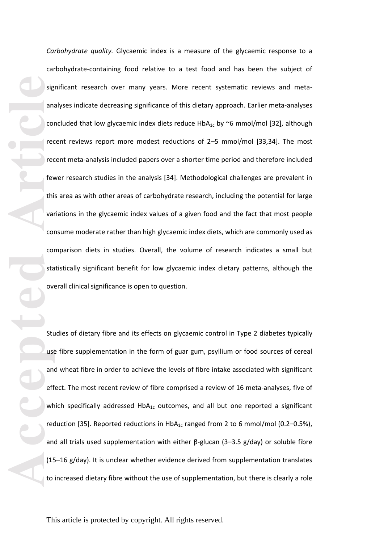**Example 12**<br> **Accepted Articles Concepted**<br> **Articles Concepted**<br> **Articles Concepted**<br> **Articles Concepted**<br> **Articles Concepted**<br> **Articles Concepted**<br> **Articles**<br> **Articles**<br> **Articles** *Carbohydrate quality.* Glycaemic index is a measure of the glycaemic response to a carbohydrate -containing food relative to a test food and has been the subject of significant research over many years. More recent systematic reviews and meta analyses indicate decreasing significance of this dietary approach. Earlier meta -analyses concluded that low glycaemic index diets reduce  $HbA_{1c}$  by  $\sim$ 6 mmol/mol [32], although recent reviews report more modest reductions of 2 – 5 mmol/mol [33,34]. The most recent meta -analysis included papers over a shorter time period and therefore included fewer research studies in the analysis [34]. Methodological challenges are prevalent in this area as with other areas of carbohydrate research, including the potential for large variations in the glycaemic index values of a given food and the fact that most people consume moderate rather than high glycaemic index diets, which are commonly used as comparison diets in studies. Overall, the volume of research indicate s a small but statistically significant benefit for low glycaemic index dietary pattern s, although the overall clinical significance is open to question.

Studies of dietary fibre and its effects on glycaemic control in Type 2 diabetes typically use fibre supplementation in the form of guar gum, psyllium or food sources of cereal and wheat fibre in order to achieve the levels of fibre intake associated wit h significant effect. The most recent review of fibre comprised a review of 16 meta-analyses, five of which specifically addressed  $HbA_{1c}$  outcomes, and all but one reported a significant reduction [35]. Reported reductions in  $HbA_{1c}$  ranged from 2 to 6 mmol/mol (0.2–0.5%), and all trials used supplementation with either  $\beta$ -glucan (3–3.5 g/day) or soluble fibre (15 –16 g/day). It is unclear whether evidence derived from supplementation translates to increased dietary fibre without the use of supplementation, but there is clearly a role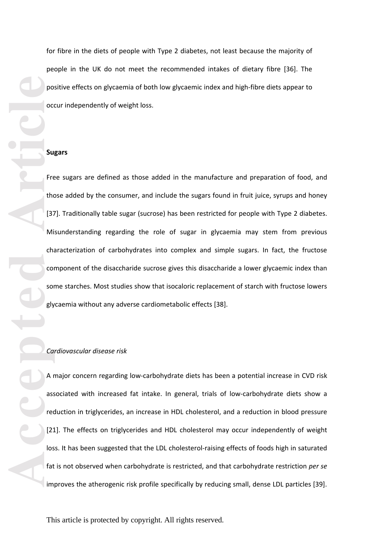for fibre in the diets of people with Type 2 diabetes, not least because the majority of people in the UK do not meet the recommended intakes of dietary fibre [36]. The positive effects on glycaemia of both low glycaemic index and high -fibre diets appear to occur independently of weight loss.

#### **Sugars**

Free sugars are defined as those added in the manufacture and preparation of food, and those added by the consumer , and include the sugars found in fruit juice, syrups and honey [37]. Traditionally table sugar (sucrose) has been restricted for people with Type 2 diabetes. Misunderstanding regarding the role of sugar in glycaemia may stem from previous characteri zation of carbohydrates into complex and simple sugars. In fact, the fructose component of the disaccharide sucrose gives this disaccharide a lower glycaemic index than some starches. Most studies show that isocaloric replacement of starch with fructose lowers glycaemia without any adverse cardiometabolic effects [38].

#### *Cardiovascular disease risk*

A major concern regarding low -carbohydrate diets has been a potential increase in CVD risk associated with increased fat intake. In general, trials of low -carbohydrate diets show a reduction in triglycerides, an increase in HDL cholesterol, and a reduction in blood pressure [21]. The effects on triglycerides and HDL cholesterol may occur independently of weight loss. It has been suggested that the LDL cholesterol-raising effects of foods high in saturated fat is not observed when carbohydrate is restricted, and that carbohydrate restriction *per se* improves the atherogenic risk profile specifically by reducing small, dense LDL particles [39].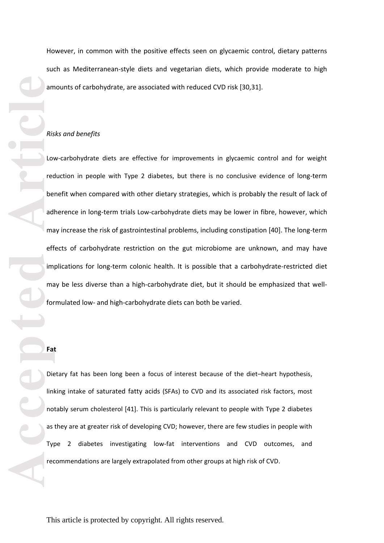However, in common with the positive effects seen on glycaemic control, dietary patterns such as Mediterranean -style diets and vegetarian diets, which provide moderate to high amounts of carbohydrate, are associated with reduced CVD risk [30,31].

## *Risks and benefits*

**Accepted Article**<br> **Article**<br> **Article**<br> **Article**<br> **Article**<br> **Article**<br> **Article**<br> **Article**<br> **Article**<br> **Article**<br> **Article**<br> **Article**<br> **Article**<br> **Article**<br> **Article**<br> **Article**<br> **Article**<br> **Article**<br> **Article**<br> **A** Low -carbohydrate diets are effective for improvements in glycaemic control and for weight reduction in people with Type 2 diabetes, but there is no conclusive evidence of long-term benefit when compared with other dietary strategies, which is probably the result of lack of adherence in long-term trials Low-carbohydrate diets may be lower in fibre, however, which may increase the risk of gastrointestinal problems, including constipation [40]. The long -term effects of carbohydrate restriction on the gut microbiome are unknown, and may have implications for long-term colonic health. It is possible that a carbohydrate-restricted diet may be less diverse than a high-carbohydrate diet, but it should be emphasized that wellformulated low - and high -carbohydrate diets can both be varied.

## **Fat**

Dietary fat has been long been a focus of interest because of the diet –heart hypothesis , linking intake of saturated fatty acids (SFAs) to CVD and its associated risk factors, most notably serum cholesterol [41]. This is particularly relevant to people with Type 2 diabetes as they are at greater risk of developing CVD ; however, there are few studies in people with Type 2 diabetes investigating low -fat interventions and CVD outcomes, and recommendations are largely extrapolated from other groups at high risk of CVD.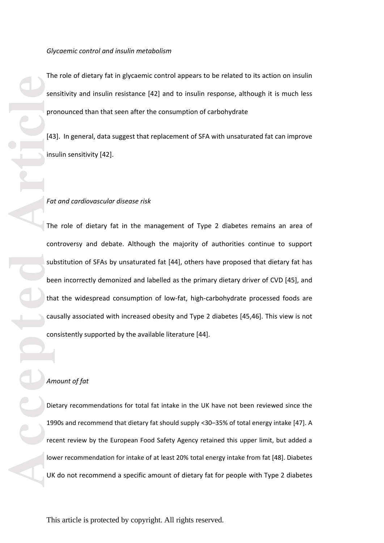The role of dietary fat in glycaemic control appears to be related to its action on insulin sensitivity and insulin resistance [42] and to insulin response, although it is much less pronounced tha n that seen after the consumption of carbohydrate

[43]. In general, data suggest that replacement of SFA with unsaturated fat can improve insulin sensitivity [42].

#### *Fat and cardiovascular disease risk*

The role of dietary fat in the management of Type 2 diabetes remains an area of controversy and debate. Although the majority of authorities continue to support substitution of SFA s by unsaturated fat [44], others have proposed that dietary fat has been incorrectly demoni zed and labelled as the primary dietary driver of CVD [45], and that the widespread consumption of low -fat, high -carbohydrate processed foods are causally associated with increased obesity and Type 2 diabetes [45,46]. This view is not consistently supported by the available literature [44].

## *Amount of fat*

Dietary recommendations for total fat intake in the UK have not been reviewed since the 1990s and recommend that dietary fat should supply <30 –35% of total energy intake [47]. A recent review by the European Food Safety Agency retained this upper limit, but added a lower recommendation for intake of at least 20% total energy intake from fat [48]. Diabetes UK do not recommend a specific amount of dietary fat for people with Type 2 diabetes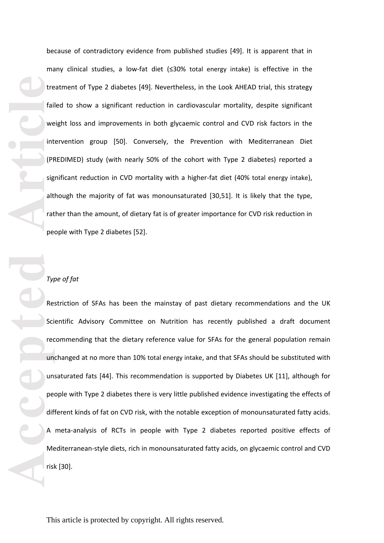because of contradictory evidence from published studies [49]. It is apparent that in many clinical studies, a low -fat diet ( ≤30 % total energy intake) is effective in the treatment of Type 2 diabetes [49]. Nevertheless, in the Look AHEAD trial, this strategy failed to show a significant reduction in cardiovascular mortality , despite significant weight loss and improvements in both glycaemic control and CVD risk factors in the intervention group [50]. Conversely, the Prevention with Mediterranean Diet (PREDIMED ) study (with nearly 50% of the cohort with Type 2 diabetes) reported a significant reduction in CVD mortality with a higher -fat diet (40% total energy intake), although the majority of fat was monounsaturated [30,51]. It is likely that the type, rather than the amount, of dietary fat is of greater importance for CVD risk reduction in people with Type 2 diabetes [52].

## *Type of fat*

**Example 18**<br> **Article**<br> **Article**<br> **Article**<br> **Article**<br> **Article**<br> **Article**<br> **Article**<br> **Article**<br> **Article**<br> **Article**<br> **Article**<br> **Article**<br> **Article**<br> **Article**<br> **Article**<br> **Article** Restriction of SFAs has been the mainstay of past dietary recommendations and the UK Scientific Advisory Committee on Nutrition has recently published a draft document recommending that the dietary reference value for SFA s for the general population remain unchanged at no more than 10% total energy intake, and that SFA s should be substituted with unsaturated fats [44]. This recommendation is supported by Diabetes UK [11], although for people with Type 2 diabetes there is very little published evidence investigating the effects of different kinds of fat on CVD risk, with the notable exception of monounsaturated fatty acids. A meta -analysis of RCTs in people with Type 2 diabetes reported positive effects of Mediterranean -style diets, rich in monounsaturated fatty acids, on glycaemic control and CVD risk [30].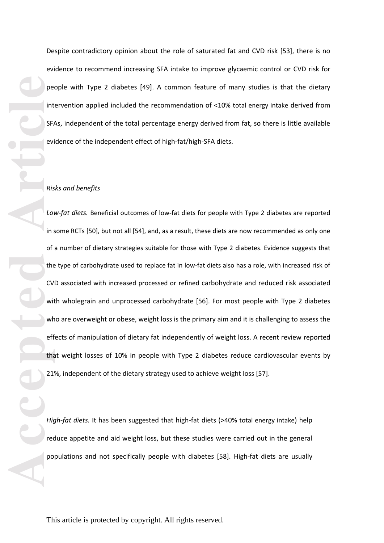Despite contradictory opinion about the role of saturated fat and CVD risk [53], there is no evidence to recommend increasing SFA intake to improve glycaemic control or CVD risk for people with Type 2 diabetes [49]. A common feature of many studies is that the dietary intervention applied included the recommendation of <10% total energy intake derived from SFA s, independent of the total percentage energy derived from fat, so there is little available evidence of the independent effect of high -fat/high -SFA diets.

#### *Risks and benefits*

**Performance Property** interest on the CV with the CV with the CV with the CV with the CV with the CV with the CV with the CV with the CV with the CV with the CV with the CV with the CV with the CV with the CV with the CV Low-fat diets. Beneficial outcomes of low-fat diets for people with Type 2 diabetes are reported in some RCTs [50], but not all [54], and, as a result, these diets are now recommended as only one of a number of dietary strategies suitable for those with Type 2 diabetes. Evidence suggests that the type of carbohydrate used to replace fat in low -fat diets also has a role, with increased risk of CVD associated with increased processed or refined carbohydrate and reduced risk associated with wholegrain and unprocessed carbohydrate [56]. For most people with Type 2 diabetes who are overweight or obese, weight loss is the primary aim and it is challenging to assess the effects of manipulation of dietary fat independently of weight loss. A recent review reported that weight losses of 10% in people with Type 2 diabetes reduce cardiovascular events by 21%, independent of the dietary strategy used to achieve weight loss [57].

High-fat diets. It has been suggested that high-fat diets (>40% total energy intake) help reduce appetite and aid weight loss, but these studies were carried out in the general populations and not specifically people with diabetes [58]. High -fat diets are usually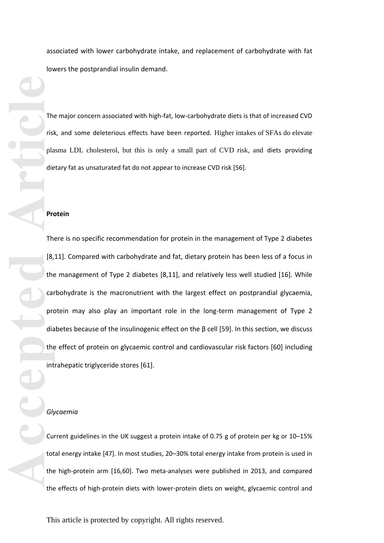associated with lower carbohydrate intake, and replacement of carbohydrate with fat lowers the postprandial insulin demand.

The major concern associated with high -fat, low -carbohydrate diets is that of increased CVD risk , and some deleterious effects have been reported. Higher intakes of SFA s do elevate plasma LDL cholesterol, but this is only a small part of CVD risk , and diets providing dietary fat as unsaturated fat do not appear to increase CVD risk [56].

#### **Protein**

There is no specific recommendation for protein in the management of Type 2 diabetes [8,11]. Compared with carbohydrate and fat, dietary protein has been less of a focus in the management of Type 2 diabetes [8,11], and relatively less well studied [16]. While carbohydrate is the macronutrient with the largest effect on postprandial glycaemia, protein may also play an important role in the long -term management of Type 2 diabetes because of the insulinogenic effect on the β cell [59]. In t his section, we discuss the effect of protein on glycaemic control and cardiovascular risk factors [60] including intrahepatic triglyceride stores [61].

#### *Glycaemia*

Current guidelines in the UK suggest a protein intake of 0.75 g of protein per k g or 10 –15% total energy intake [47]. In most studies, 20 –30% total energy intake from protein is used in the high -protein arm [16,60]. Two meta -analyses were published in 2013, and compared the effects of high -protein diets with lower -protein diets on weight, glycaemic control and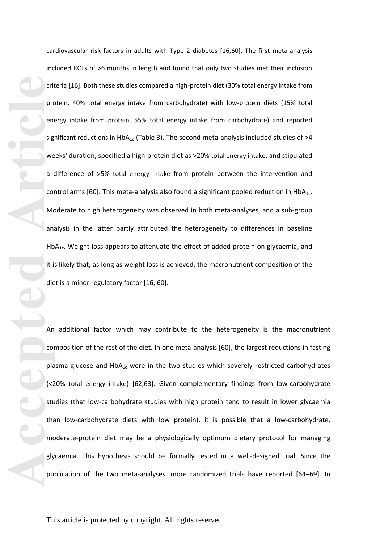Friedrich Contraction Contraction Contraction Contraction Contraction Contraction Contraction Contraction Contraction Contraction Contraction Contraction Contraction Contraction Contraction Contraction Contraction Contract cardiovascular risk factors in adults with Type 2 diabetes [16,60]. The first meta -analysis included RCTs of >6 months in length and found that only two studies met their inclusion criteria [16]. Both these studies compared a high -protein diet (30% total energy intake from protein , 40% total energy intake from carbohydrate) with low -protein diets (15% total energy intake from protein, 55% total energy intake from carbohydrate) and reported significant reductions in HbA<sub>1c</sub> (Table 3). The second meta-analysis included studies of >4 weeks' duration, specified a high-protein diet as >20% total energy intake, and stipulated a difference of >5% total energy intake from protein between the intervention and control arms [60]. This meta-analysis also found a significant pooled reduction in  $HbA_{1c}$ . Moderate to high heterogeneity was observed in both meta -analyses, and a sub -group analysis in the latter partly attributed the heterogeneity to differences in baseline  $HbA<sub>1c</sub>$ . Weight loss appears to attenuate the effect of added protein on glycaemia, and it is likely that, as long as weight loss is achieved, the macronutrient composition of the diet is a minor regulatory factor [16, 60].

An additional factor which may contribute to the heterogeneity is the macronutrient composition of the rest of the diet. In one meta -analysis [60], the largest reductions in fasting plasma glucose and  $HbA_{1c}$  were in the two studies which severely restricted carbohydrates (<20% total energy intake) [62,63]. Given complementary findings from low -carbohydrate studies (that low -carbohydrate studies with high protein tend to result in lower glycaemia than low -carbohydrate diets with low protein), it is possible that a low -carbohydrate, moderate -protein diet may be a physiologically optimum dietary protocol for managing glycaemia. This hypothesis should be formally tested in a well -designed trial. Since the publication of the two meta-analyses, more randomized trials have reported [64-69]. In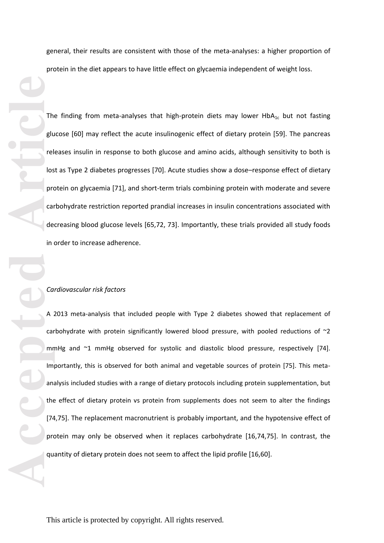general, their results are consistent with those of the meta -analyses: a higher proportion of protein in the diet appears to have little effect on glycaemia independent of weight loss.

The finding from meta-analyses that high-protein diets may lower  $HbA_{1c}$  but not fasting glucose [60] may reflect the acute insulinogenic effect of dietary protein [59]. The pancreas releases insulin in response to both glucose and amino acids , although sensitivity to both is lost as Type 2 diabetes progresses [70]. Acute studies show a dose –response effect of dietary protein on glycaemia [71], and short-term trials combining protein with moderate and severe carbohydrate restriction reported prandial increases in insulin concentrations associated with decreasing blood glucose levels [65,72, 73]. Importantly, these trials provided all study foods in order to increase adherence.

#### *Cardiovascular risk factors*

The glue of the glue of the glue of the glue of the glue of the glue of the glue of the glue of the glue of the glue of the glue of the glue of the glue of the glue of the glue of the glue of the glue of the glue of the gl A 2013 meta -analysis that included people with Type 2 diabetes showed that replacement of carbohydrate with protein significantly lowered blood pressure , with pooled reductions of ~2 mmHg and ~1 mmHg observed for systolic and diastolic blood pressure , respectively [74]. Importantly, this is observed for both animal and vegetable sources of protein [75]. This meta analysis included studies with a range of dietary protocols including protein supplementation, but the effect of dietary protein vs protein from supplements does not seem to alter the findings [74,75]. The replacement macronutrient is probably important, and the hypotensive effect of protein may only be observed when it replaces carbohydrate [16,74,75]. In contrast, the quantity of dietary protein does not seem to affect the lipid profile [16,60].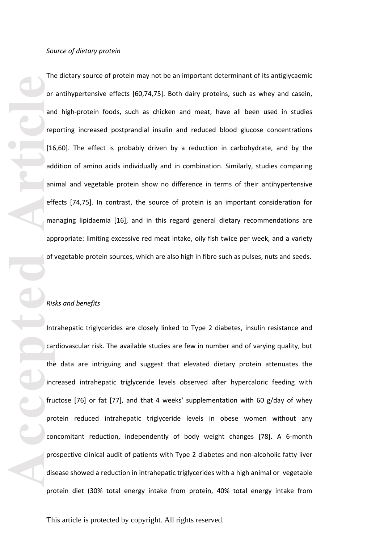The dietary source of protein may not be an important determinant of its antiglycaemic or antihypertensive effects [60,74,75]. Both dairy proteins , such as whey and casein, and high -protein foods , such as chicken and meat , have all been used in studies reporting increased postprandial insulin and reduced blood glucose concentrations [16,60]. The effect is probably driven by a reduction in carbohydrate, and by the addition of amino acids individually and in combination. Similarly, studies comparing animal and vegetable protein show no difference in terms of their antihypertensive effects [74,75]. In contrast, the source of protein is an important consideration for managing lipidaemia [16], and in this regard general dietary recommendations are appropriate: limiting excessive red meat intake, oily fish twice per week, and a variety of vegetable protein sources, which are also high in fibre such as pulses, nuts and seeds.

## *Risks and benefits*

**Accepted Article**<br> **Accepted Article**<br> **Article**<br> **Article**<br> **Article**<br> **Article**<br> **Article**<br> **Article**<br> **Article**<br> **Article**<br> **Article**<br> **Article**<br> **Article**<br> **Article**<br> **Article**<br> **Article** Intrahepatic triglycerides are closely linked to Type 2 diabetes, insulin resistance and cardiovascular risk. The available studies are few in number and of varying quality, but the data are intriguing and suggest that elevated dietary protein attenuates the increased intrahepatic triglyceride levels observed after hypercaloric feeding with fructose [76] or fat [77], and that 4 weeks' supplementation with 60 g/day of whey protein reduced intrahepatic triglyceride levels in obese women without any concomitant reduction , independently of body weight changes [78]. A 6 -month prospective clinical audit of patients with Type 2 diabetes and non -alcoholic fatty liver disease showed a reduction in intrahepatic triglycerides with a high animal or vegetable protein diet (30% total ener gy intake from protein, 40% total energy intake from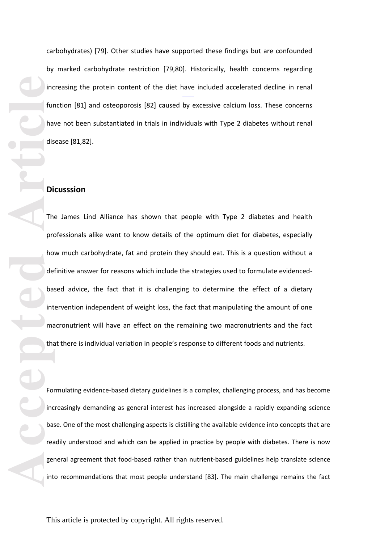carbohydrates) [79]. Other studies have supported these findings but are confounded by marked carbohydrate restriction [79,80]. Historically , health concerns regarding increasing the protein content of the diet have included accelerated decline in renal function [81] and osteoporosis [82] caused by excessive calcium loss. These concerns have not been substantiated in trials in individuals with Type 2 diabetes without renal disease [81,82].

## **Dicusssion**

**Accepted Accepted Article**<br> **Accepted Article**<br> **Accepted Article**<br> **Article**<br> **Article**<br> **Article**<br> **Article**<br> **Article**<br> **Article**<br> **Article**<br> **Article**<br> **Article**<br> **Article**<br> **Article**<br> **Article**<br> **Article**<br> **A** The James Lind Alliance has shown that people with Type 2 diabetes and health professionals alike want to know details of the optimum diet for diabetes, especially how much carbohydrate, fat and protein they should eat. This is a question without a definitive answer for reasons which include the strategies used to formulate evidencedbase d advice, the fact that it is challenging to determine the effect of a dietary intervention independent of weight loss, the fact that manipulating the amount of one macronutrient will have an effect on the remaining two macronutrients and the fact that there is individual variation in people's response to different foods and nutrients.

Formulating evidence -based dietary guidelines is a complex, challenging process, and has become increasingly demanding as general interest has increased alongside a rapidly expanding science base. One of the most challenging aspects is distilling the available evidence into concepts that are readily understood and which can be applied in practice by people with diabetes. There is now general agreement that food -based rather than nutrient -based guidelines help translate science into recommendations that most people understand [83]. The main challenge remains the fact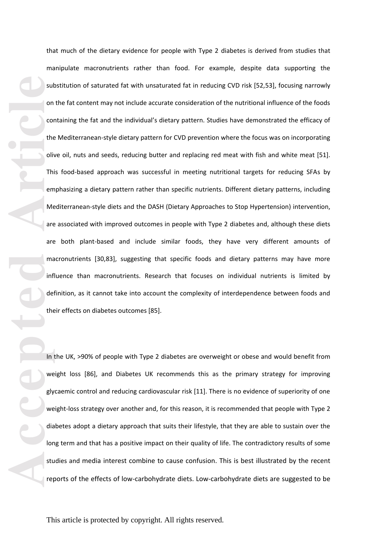accepted **Article**<br>
Article<br>
Article<br>
Article<br>
Article<br>
Article<br>
Article<br>
Article<br>
Article<br>
Article<br>
Article<br>
Article<br>
Article<br>
Article<br>
Article<br>
Article<br>
Article<br>
Article<br>
Article<br>
Article<br>
Article<br>
Article<br>
Article<br>
Arti that much of the dietary evidence for people with Type 2 diabetes is derived from studies that manipulate macronutrients rather than food. For example, despite data supporting the substitution of saturated fat with unsaturated fat in reducing CVD risk [52,53], focusing narrowly on the fat content may not include accurate consideration of the nutritional influence of the foods containing the fat and the individual's dietary pattern. Studies have demonstrated the efficacy of the Mediterranean -style dietary pattern for CVD prevention where the focus was on incorporating olive oil, nuts and seeds, reducing butter and replacing red meat with fish and white meat [51]. This food -based approach was successful in meeting nutritional targets for reducing SFA s by emphasi zing a dietary pattern rather than specific nutrients. Different dietary patterns, including Mediterranean -style diets and the DASH (Dietary Approaches to Stop Hypertension) intervention, are associated with improved outcomes in people with Type 2 diabetes and , although these diets are both plant -based and include similar foods, they have very different amounts of macronutrients [30,83], suggesting that specific foods and dietary patterns may have more influence than macronutrients. Research that focuses on individual nutrients is limited by definition, as it cannot take into account the complexity of interdependence between foods and their effects on diabetes outcomes [85].

In the UK, >90% of people with Type 2 diabetes are overweight or obese and would benefit from weight loss [86], and Diabetes UK recommends this as the primary strategy for improving glycaemic control and reducing cardiovascular risk [11]. There is no evidence of superiority of one weight-loss strategy over another and, for this reason, it is recommended that people with Type 2 diabetes adopt a dietary approach that suits their lifestyle, that they are able to sustain over the long term and that has a positive impact on their quality of life. The contradictory results of some studies and media interest combine to cause confusion . This is best illustrated by the recent reports of the effects of low -carbohydrate diets. Low -carbohydrate diets are suggested to be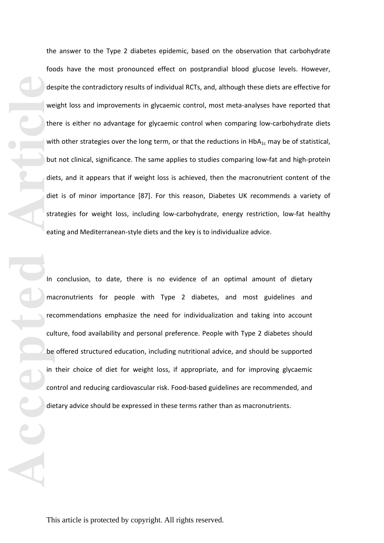the answer to the Type 2 diabetes epidemic, based on the observation that carbohydrate foods have the most pronounced effect on postprandial blood glucose levels. However, despite the contradictory results of individual RCTs, and , although these diets are effective for weight loss and improvements in glycaemic control, most meta -analyses have reported that there is either no advantage for glycaemic control when comparing low -carbohydrate diets with other strategies over the long term, or that the reductions in  $HbA_{1c}$  may be of statistical, but not clinical, significance. The same applies to studies comparing low -fat and high -protein diets, and it appears that if weight loss is achieved, then the macronutrient content of the diet is of minor importance [87]. For this reason, Diabetes UK recommends a variety of strategies for weight loss, including low-carbohydrate, energy restriction, low-fat healthy eating and Mediterranean -style diets and the key is to individuali ze advice.

**Accessible**<br> **Accessible**<br> **Article**<br> **Article**<br> **Article**<br> **Article**<br> **Article**<br> **Article**<br> **Article**<br> **Article**<br> **Article**<br> **Article**<br> **Article**<br> **Article**<br> **Article**<br> **Article**<br> **Article**<br> **Article**<br> **Article**<br> **Articl** In conclusion, to date, there is no evidence of an optimal amount of dietary macronutrients for people with Type 2 diabetes, and most guidelines and recommendations emphasize the need for individualization and taking into account culture, food availability and personal preference. People with Type 2 diabetes should be offered structured education , including nutritional advice, and should be supported in their choice of diet for weight loss, if appropriate, and for improving glycaemic control and reducing cardiovascular risk. Food -based guidelines are recommended, and dietary advice should be expressed in these terms rather than as macronutrients.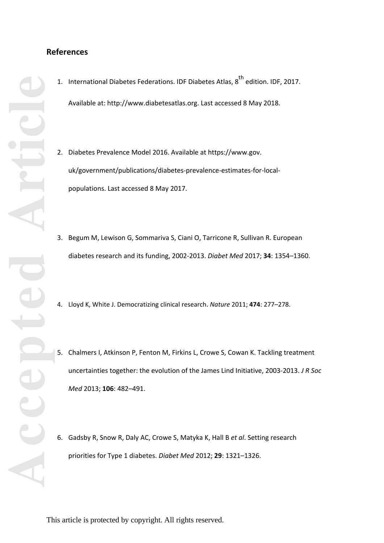# **References**

- 1. International Diabetes Federations. IDF Diabetes Atlas, 8<sup>th</sup> edition. IDF, 2017. Available at: http://www.diabetesatlas.org. Last accessed 8 May 2018.
- 2. Diabetes Prevalence Model 2016. Available at https://www.gov. uk/government/publications/diabetes-prevalence-estimates-for-localpopulations. Last accessed 8 May 2017.
- 3. Begum M, Lewison G, Sommariva S, Ciani O, Tarricone R, Sullivan R. European diabetes research and its funding, 2002 -2013. *Diabet Med* 2017; **34**: 1354 –1360.
- 4. Lloyd K, White J. Democratizing clinical research. *Nature* 2011; **474**: 277 –278.
- 5. Chalmers I, Atkinson P, Fenton M, Firkins L, Crowe S, Cowan K. Tackling treatment uncertainties together: the evolution of the James Lind Initiative, 2003 -2013. *J R Soc Med* 2013; **106**: 482 –491.
- 6. Gadsby R, Snow R, Daly AC, Crowe S, Matyka K, Hall B *et al*. Setting research priorities for Type 1 diabetes. *Diabet Med* 2012; **29**: 1321 –1326.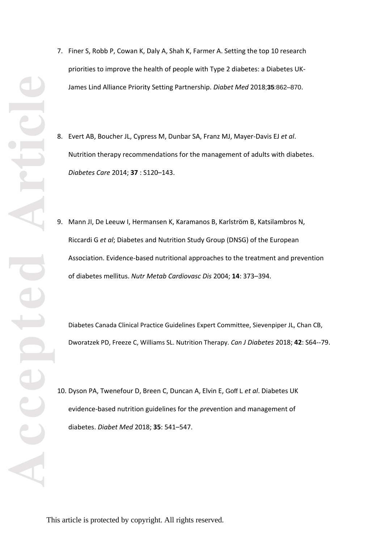- 7. Finer S, Robb P, Cowan K, Daly A, Shah K, Farmer A. Setting the top 10 research priorities to improve the health of people with Type 2 diabetes: a Diabetes UK - James Lind Alliance Priority Setting Partnership. *Diabet Med* 2018 ;**35**:862 –870 .
- 8. Evert AB, Boucher JL, Cypress M, Dunbar SA, Franz MJ, Mayer -Davis EJ *et al*. Nutrition therapy recommendations for the management of adults with diabetes. *Diabetes Care* 2014; **37** : S120 – 143.
- 9. Mann JI, De Leeuw I, Hermansen K, Karamanos B, Karlström B, Katsilambros N, Riccardi G *et al*; Diabetes and Nutrition Study Group (DNSG) of the European Association. Evidence -based nutritional approaches to the treatment and prevention of diabetes mellitus. *Nutr Metab Cardiovasc Dis* 2004; **14**: 373 – 394.

Diabetes Canada Clinical Practice Guidelines Expert Committee, Sievenpiper JL, Chan CB, Dworatzek PD, Freeze C, Williams SL. Nutrition Therapy. Can J Diabetes 2018; 42: S64--79.

10. Dyson PA, Twenefour D, Breen C, Duncan A, Elvin E, Goff L *et al*. Diabetes UK evidence-based nutrition guidelines for the *pre*vention and management of diabetes. *Diabet Med* 2018; **35**: 541 –547.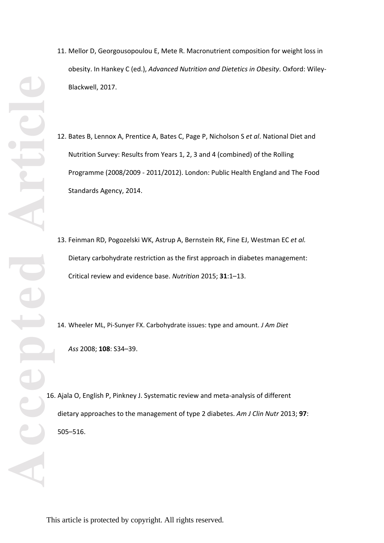- 11. Mellor D, Georgousopoulou E, Mete R. Macronutrient composition for weight loss in obesity. In Hankey C (ed.), *Advanced Nutrition and Dietetics in Obesity*. Oxford: Wiley - Blackwell , 2017.
- 12. Bates B, Lennox A, Prentice A, Bates C, Page P, Nicholson S *et al*. National Diet and Nutrition Survey: Results from Years 1, 2, 3 and 4 (combined) of the Rolling Programme (2008/2009 - 2011/2012). London: Public Health England and The Food Standards Agency , 2014.
- 13. Feinman RD, Pogozelski WK, Astrup A, Bernstein RK, Fine EJ, Westman EC *et al.* Dietary carbohydrate restriction as the first approach in diabetes management: Critical review and evidence base. *Nutrition* 2015; **31**:1 –13.
- 14. Wheeler ML, Pi -Sunyer FX. Carbohydrate issues: type and amount. *J Am Diet Ass* 2008; **108**: S34 –39.
- 16. Ajala O, English P, Pinkney J. Systematic review and meta -analysis of different dietary approaches to the management of type 2 diabetes. *Am J Clin Nutr* 2013; **97**: 505 – 516.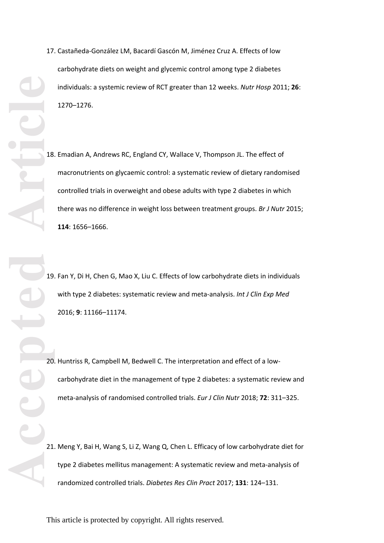- **Accepted Article**
- 17. Castañeda -González LM, Bacardí Gascón M, Jiménez Cruz A. Effects of low carbohydrate diets on weight and glycemic control among type 2 diabetes individuals: a systemic review of RCT greater than 12 weeks. *Nutr Hosp* 2011; **26**: 1270 –1276.
	- 18. Emadian A, Andrews RC, England CY, Wallace V, Thompson JL. The effect of macronutrients on glycaemic control: a systematic review of dietary randomised controlled trials in overweight and obese adults with type 2 diabetes in which there was no difference in weight loss between treatment groups. *Br J Nutr* 2015; **114**: 1656 –1666.

19. Fan Y, Di H, Chen G, Mao X, Liu C. Effects of low carbohydrate diets in individuals with type 2 diabetes: systematic review and meta -analysis. *Int J Clin Exp Med*  2016; **9**: 11166 –11174.

20. Huntriss R, Campbell M, Bedwell C. The interpretation and effect of a low carbohydrate diet in the management of type 2 diabetes: a systematic review and meta -analysis of randomised controlled trials. *Eur J Clin Nutr* 2018; **72**: 311 – 325.

21. Meng Y, Bai H, Wang S, Li Z, Wang Q, Chen L. Efficacy of low carbohydrate diet for type 2 diabetes mellitus management: A systematic review and meta -analysis of randomized controlled trials. *Diabetes Res Clin Pract* 2017; **131**: 124 –131.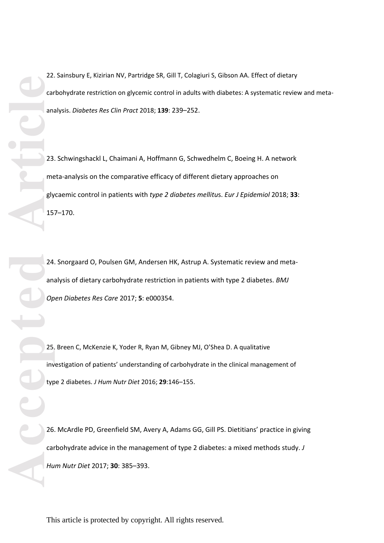Extracted Manual Contracted Manual Contracted Manual Contracted Manual Contracted Manual Contracted Manual Contracted Manual Contracted Manual Contracted Manual Contracted Manual Contracted Manual Contracted Manual Contrac carbohydrate restriction on glycemic control in adults with diabetes: A systematic review and metaanalysis. *Diabetes Res Clin Pract* 2018; **139**: 239–252. 23. Schwingshackl L, Chaimani A, Hoffmann G, Schwedhelm C, Boeing H. A network

meta-analysis on the comparative efficacy of different dietary approaches on glycaemic control in patients with *type 2 diabetes mellitu*s. *Eur J Epidemiol* 2018; **33**: 157–170.

22. Sainsbury E, Kizirian NV, Partridge SR, Gill T, Colagiuri S, Gibson AA. Effect of dietary

24. Snorgaard O, Poulsen GM, Andersen HK, Astrup A. Systematic review and metaanalysis of dietary carbohydrate restriction in patients with type 2 diabetes. *BMJ Open Diabetes Res Care* 2017; **5**: e000354.

25. Breen C, McKenzie K, Yoder R, Ryan M, Gibney MJ, O'Shea D. A qualitative investigation of patients' understanding of carbohydrate in the clinical management of type 2 diabetes. *J Hum Nutr Diet* 2016; **29**:146–155.

26. McArdle PD, Greenfield SM, Avery A, Adams GG, Gill PS. Dietitians' practice in giving carbohydrate advice in the management of type 2 diabetes: a mixed methods study. *J Hum Nutr Diet* 2017; **30**: 385–393.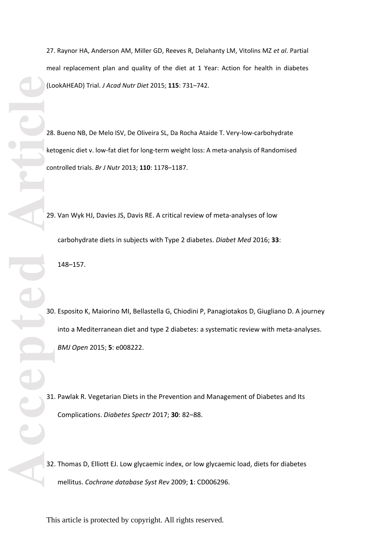27. Raynor HA, Anderson AM, Miller GD, Reeves R, Delahanty LM, Vitolins MZ *et al*. Partial meal replacement plan and quality of the diet at 1 Year: Action for health in diabetes (LookAHEAD) Trial. *J Acad Nutr Diet* 2015; **115**: 731 – 742.

28. Bueno NB, De Melo ISV, De Oliveira SL, Da Rocha Ataide T. Very -low -carbohydrate ketogenic diet v. low-fat diet for long-term weight loss: A meta-analysis of Randomised controlled trials. *Br J Nutr* 2013; **110**: 1178 –1187.

29. Van Wyk HJ, Davies JS, Davis RE. A critical review of meta -analyses of low carbohydrate diets in subjects with Type 2 diabetes. *Diabet Med* 2016; **33** : 148 – 157.

30. Esposito K, Maiorino MI, Bellastella G, Chiodini P, Panagiotakos D, Giugliano D. A journey into a Mediterranean diet and type 2 diabetes: a systematic review with meta -analyses. *BMJ Open* 2015; **5**: e008222.

31. Pawlak R. Vegetarian Diets in the Prevention and Management of Diabetes and Its Complications. *Diabetes Spectr* 2017; **30**: 82 –88.

32. Thomas D, Elliott EJ. Low glycaemic index, or low glycaemic load, diets for diabetes mellitus. *Cochrane database Syst Rev* 2009; **1**: CD006296.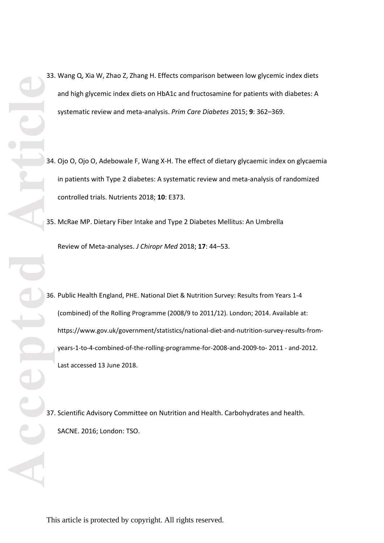- 33. Wang Q, Xia W, Zhao Z, Zhang H. Effects comparison between low glycemic index diets and high glycemic index diets on HbA1c and fructosamine for patients with diabetes: A systematic review and meta-analysis. *Prim Care Diabetes* 2015; **9**: 362–369.
- 34. Ojo O, Ojo O, Adebowale F, Wang X-H. The effect of dietary glycaemic index on glycaemia in patients with Type 2 diabetes: A systematic review and meta-analysis of randomized controlled trials. Nutrients 2018; **10**: E373.
- 35. McRae MP. Dietary Fiber Intake and Type 2 Diabetes Mellitus: An Umbrella Review of Meta-analyses. *J Chiropr Med* 2018; **17**: 44–53.
- 36. Public Health England, PHE. National Diet & Nutrition Survey: Results from Years 1-4 (combined) of the Rolling Programme (2008/9 to 2011/12). London; 2014. Available at: https://www.gov.uk/government/statistics/national-diet-and-nutrition-survey-results-fromyears-1-to-4-combined-of-the-rolling-programme-for-2008-and-2009-to- 2011 - and-2012. Last accessed 13 June 2018.
- 37. Scientific Advisory Committee on Nutrition and Health. Carbohydrates and health. SACNE. 2016; London: TSO.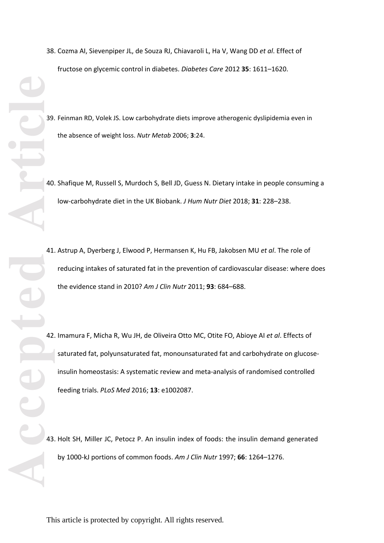- **Accepted Article**
- 38. Cozma AI, Sievenpiper JL, de Souza RJ, Chiavaroli L, Ha V, Wang DD *et al*. Effect of fructose on glycemic control in diabetes. *Diabetes Care* 2012 **35**: 1611 –1620.
	- 39. Feinman RD, Volek JS. Low carbohydrate diets improve atherogenic dyslipidemia even in the absence of weight loss. *Nutr Metab* 2006; **3**:24.
	- 40. Shafique M, Russell S, Murdoch S, Bell JD, Guess N. Dietary intake in people consuming a low -carbohydrate diet in the UK Biobank. *J Hum Nutr Diet* 2018; **31**: 228 – 238.
	- 41. Astrup A, Dyerberg J, Elwood P, Hermansen K, Hu FB, Jakobsen MU *et al*. The role of reducing intakes of saturated fat in the prevention of cardiovascular disease: where does the evidence stand in 2010? *Am J Clin Nutr* 2011; **93**: 684 –688.
	- 42. Imamura F, Micha R, Wu JH, de Oliveira Otto MC, Otite FO, Abioye AI *et al*. Effects of saturated fat, polyunsaturated fat, monounsaturated fat and carbohydrate on glucose insulin homeostasis: A systematic review and meta -analysis of randomised controlled feeding trials. *PLoS Med* 2016; **13**: e1002087.
	- 43. Holt SH, Miller JC, Petocz P. An insulin index of foods: the insulin demand generated by 1000 -kJ portions of common foods. *Am J Clin Nutr* 1997; **66**: 1264 –1276.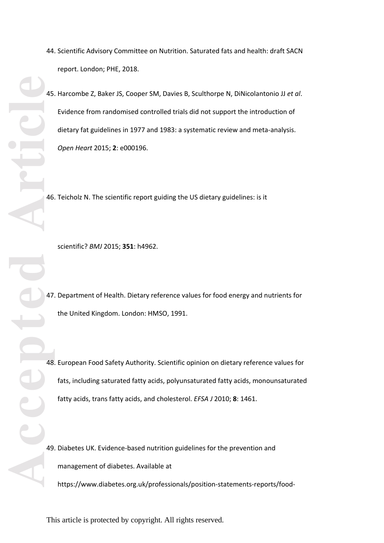- 44. Scientific Advisory Committee on Nutrition. Saturated fats and health: draft SACN report. London; PHE, 2018.
- 45. Harcombe Z, Baker JS, Cooper SM, Davies B, Sculthorpe N, DiNicolantonio JJ *et al*. Evidence from randomised controlled trials did not support the introduction of dietary fat guidelines in 1977 and 1983: a systematic review and meta -analysis. *Open Heart* 2015; **2**: e000196.

46. Teicholz N. The scientific report guiding the US dietary guidelines: is it

scientific? *BMJ* 2015; **351**: h4962.

47. Department of Health. Dietary reference values for food energy and nutrients for the United Kingdom. London : HMSO, 1991.

48. European Food Safety Authority. Scientific opinion on dietary reference values for fats, including saturated fatty acids, polyunsaturated fatty acids, monounsaturated fatty acids, trans fatty acids, and cholesterol. *EFSA J* 2010; **8**: 1461.

49. Diabetes UK. Evidence -based nutrition guidelines for the prevention and management of diabetes. Available at https://www.diabetes.org.uk/professionals/position -statements -reports/food -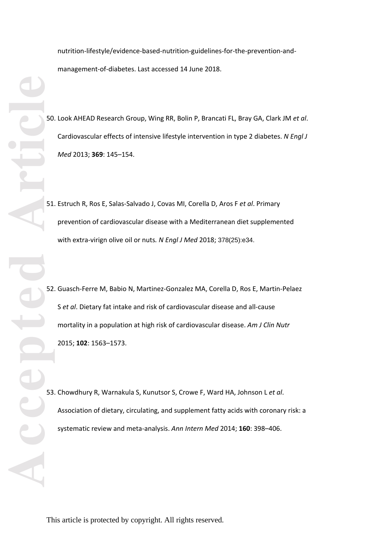nutrition-lifestyle/evidence-based-nutrition-guidelines-for-the-prevention-andmanagement -of -diabetes. Last accessed 14 June 2018.

- 50. Look AHEAD Research Group, Wing RR, Bolin P, Brancati FL, Bray GA, Clark JM *et al*. Cardiovascular effects of intensive lifestyle intervention in type 2 diabetes. *N Engl J Med* 2013; **369**: 145 – 154.
- 51. Estruch R, Ros E, Salas -Salvado J, Covas MI, Corella D, Aros F *et al*. Primary prevention of cardiovascular disease with a Mediterranean diet supplemented with extra -virign olive oil or nuts*. N Engl J Med* 2018 ; 378(25):e34.
- 52. Guasch -Ferre M, Babio N, Martinez -Gonzalez MA, Corella D, Ros E, Martin -Pelaez S *et al*. Dietary fat intake and risk of cardiovascular disease and all -cause mortality in a population at high risk of cardiovascular disease. *Am J Clin Nutr*  2015; **102**: 1563 –1573.
- 53. Chowdhury R, Warnakula S, Kunutsor S, Crowe F, Ward HA, Johnson L *et al*. Association of dietary, circulating, and supplement fatty acids with coronary risk: a systematic review and meta -analysis. *Ann Intern Med* 2014; **160**: 398 –406.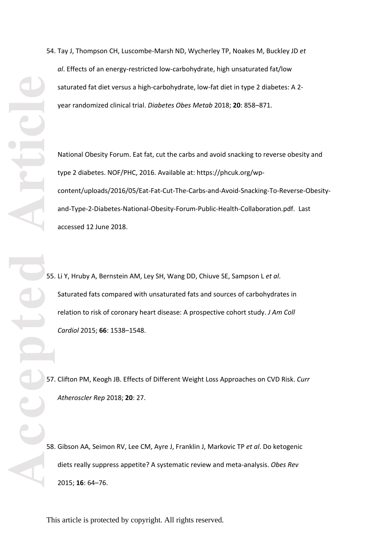54. Tay J, Thompson CH, Luscombe -Marsh ND, Wycherley TP, Noakes M, Buckley JD *et*  al. Effects of an energy-restricted low-carbohydrate, high unsaturated fat/low saturated fat diet versus a high-carbohydrate, low-fat diet in type 2 diabetes: A 2year randomized clinical trial. *Diabetes Obes Metab* 2018; **20**: 858 – 871.

National Obesity Forum. Eat fat, cut the carbs and avoid snacking to reverse obesity and type 2 diabetes. NOF/PHC, 2016. Available at: https://phcuk.org/wp content/uploads/2016/05/Eat-Fat-Cut-The-Carbs-and-Avoid-Snacking-To-Reverse-Obesityand-Type-2-Diabetes-National-Obesity-Forum-Public-Health-Collaboration.pdf. Last accessed 12 June 2018.

55. Li Y, Hruby A, Bernstein AM, Ley SH, Wang DD, Chiuve SE, Sampson L *et al*. Saturated fats compared with unsaturated fats and sources of carbohydrates in relation to risk of coronary heart disease: A prospective cohort study. *J Am Coll Cardiol* 2015; **66**: 1538 –1548.

57. Clifton PM, Keogh JB. E ffects of Different Weight Loss Approaches on CVD Risk. *Curr Atheroscler Rep* 2018; **20**: 27.

58. Gibson AA, Seimon RV, Lee CM, Ayre J, Franklin J, Markovic TP *et al*. Do ketogenic diets really suppress appetite? A systematic review and meta -analysis. *Obes Rev* 2015; **16**: 64 –76.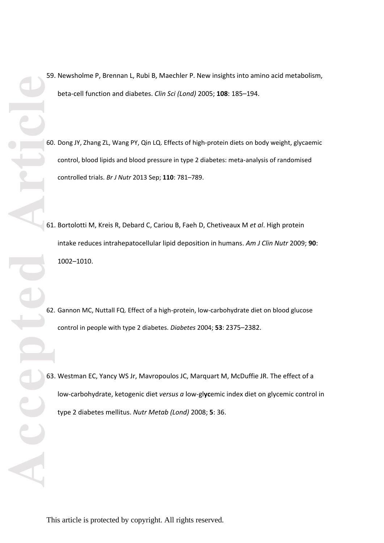- 59. Newsholme P, Brennan L, Rubi B, Maechler P. New insights into amino acid metabolism, beta-cell function and diabetes. *Clin Sci (Lond)* 2005; **108**: 185–194.
- 60. Dong JY, Zhang ZL, Wang PY, Qin LQ. Effects of high-protein diets on body weight, glycaemic control, blood lipids and blood pressure in type 2 diabetes: meta-analysis of randomised controlled trials. *Br J Nutr* 2013 Sep; **110**: 781–789.
- 61. Bortolotti M, Kreis R, Debard C, Cariou B, Faeh D, Chetiveaux M *et al*. High protein intake reduces intrahepatocellular lipid deposition in humans. *Am J Clin Nutr* 2009; **90**: 1002–1010.
- 62. Gannon MC, Nuttall FQ. Effect of a high-protein, low-carbohydrate diet on blood glucose control in people with type 2 diabetes. *Diabetes* 2004; **53**: 2375–2382.
- 63. Westman EC, Yancy WS Jr, Mavropoulos JC, Marquart M, McDuffie JR. The effect of a low-carbohydrate, ketogenic diet *versus a* low-gl**yc**emic index diet on glycemic control in type 2 diabetes mellitus. *Nutr Metab (Lond)* 2008; **5**: 36.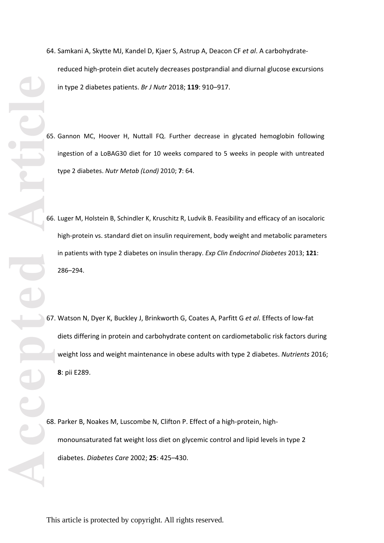- 64. Samkani A, Skytte MJ, Kandel D, Kjaer S, Astrup A, Deacon CF *et al*. A carbohydrate reduced high -protein diet acutely decreases postprandial and diurnal glucose excursions in type 2 diabetes patients. *Br J Nutr* 2018; **119**: 910 –917.
- 65. Gannon MC, Hoover H, Nuttall FQ. Further decrease in glycated hemoglobin following ingestion of a LoBAG30 diet for 10 weeks compared to 5 weeks in people with untreated type 2 diabetes. *Nutr Metab (Lond)* 2010; **7**: 64.
- 66. Luger M, Holstein B, Schindler K, Kruschitz R, Ludvik B. Feasibility and efficacy of an isocaloric high -protein vs. standard diet on insulin requirement, body weight and metabolic parameters in patients with type 2 diabetes on insulin therapy. *Exp Clin Endocrinol Diabetes* 2013; **121**: 286 – 294.
- 67. Watson N, Dyer K, Buckley J, Brinkworth G, Coates A, Parfitt G *et al*. Effects of low -fat diets differing in protein and carbohydrate content on cardiometabolic risk factors during weight loss and weight maintenance in obese adults with type 2 diabetes. *Nutrients* 2016; **8**: pii E289.
- 68. Parker B, Noakes M, Luscombe N, Clifton P. Effect of a high -protein, high monounsaturated fat weight loss diet on glycemic control and lipid levels in type 2 diabetes. *Diabetes Care* 2002; **25**: 425 – 430.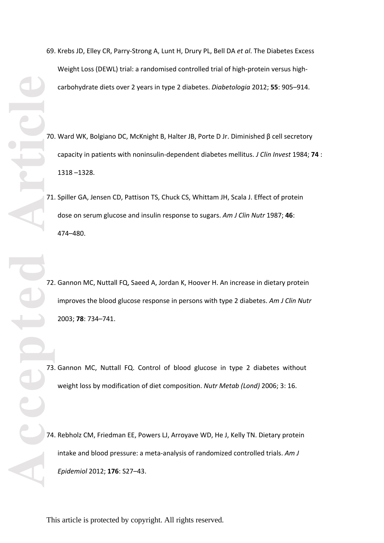- 69. Krebs JD, Elley CR, Parry -Strong A, Lunt H, Drury PL, Bell DA *et al*. The Diabetes Excess Weight Loss (DEWL) trial: a randomised controlled trial of high -protein versus high carbohydrate diets over 2 years in type 2 diabetes. *Diabetologia* 2012; **55**: 905 – 914.
- 70. Ward WK, Bolgiano DC, McKnight B, Halter JB, Porte D Jr. Diminished β cell secretory capacity in patients with noninsulin-dependent diabetes mellitus. *J Clin Invest* 1984; 74 : 1318 –1328.
- 71. Spiller GA, Jensen CD, Pattison TS, Chuck CS, Whittam JH, Scala J. Effect of protein dose on serum glucose and insulin response to sugars. *Am J Clin Nutr* 1987; **46**: 474 – 480.

72. Gannon MC, Nuttall FQ, Saeed A, Jordan K, Hoover H. An increase in dietary protein improves the blood glucose response in persons with type 2 diabetes. *Am J Clin Nutr*  2003; **78**: 734 – 741.

73. Gannon MC, Nuttall FQ. Control of blood glucose in type 2 diabetes without weight loss by modification of diet composition. *Nutr Metab (Lond)* 2006; 3: 16.

74. Rebholz CM, Friedman EE, Powers LJ, Arroyave WD, He J, Kelly TN. Dietary protein intake and blood pressure: a meta -analysis of randomized controlled trials. *Am J Epidemiol* 2012; **176**: S27 –43.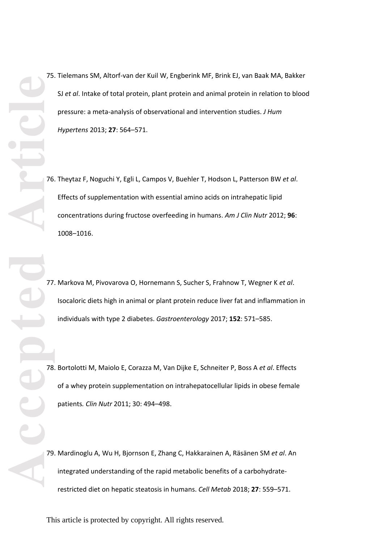75. Tielemans SM, Altorf-van der Kuil W, Engberink MF, Brink EJ, van Baak MA, Bakker SJ *et al*. Intake of total protein, plant protein and animal protein in relation to blood pressure: a meta-analysis of observational and intervention studies. *J Hum Hypertens* 2013; **27**: 564–571.

- 76. Theytaz F, Noguchi Y, Egli L, Campos V, Buehler T, Hodson L, Patterson BW *et al*. Effects of supplementation with essential amino acids on intrahepatic lipid concentrations during fructose overfeeding in humans. *Am J Clin Nutr* 2012; **96**: 1008–1016.
- 77. Markova M, Pivovarova O, Hornemann S, Sucher S, Frahnow T, Wegner K *et al*. Isocaloric diets high in animal or plant protein reduce liver fat and inflammation in individuals with type 2 diabetes. *Gastroenterology* 2017; **152**: 571–585.
- 78. Bortolotti M, Maiolo E, Corazza M, Van Dijke E, Schneiter P, Boss A *et al*. Effects of a whey protein supplementation on intrahepatocellular lipids in obese female patients*. Clin Nutr* 2011; 30: 494–498.
- 79. Mardinoglu A, Wu H, Bjornson E, Zhang C, Hakkarainen A, Räsänen SM *et al*. An integrated understanding of the rapid metabolic benefits of a carbohydraterestricted diet on hepatic steatosis in humans. *Cell Metab* 2018; **27**: 559–571.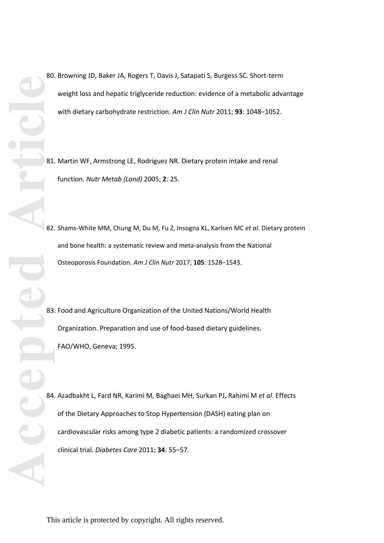- 80. Browning JD, Baker JA, Rogers T, Davis J, Satapati S, Burgess SC. Short-term weight loss and hepatic triglyceride reduction: evidence of a metabolic advantage with dietary carbohydrate restriction. *Am J Clin Nutr* 2011; **93**: 1048–1052.
- 81. Martin WF, Armstrong LE, Rodriguez NR. Dietary protein intake and renal function. *Nutr Metab (Lond)* 2005; **2**: 25.
- 82. Shams-White MM, Chung M, Du M, Fu Z, Insogna KL, Karlsen MC *et al*. Dietary protein and bone health: a systematic review and meta-analysis from the National Osteoporosis Foundation. *Am J Clin Nutr* 2017; **105**: 1528–1543.
- 83. Food and Agriculture Organization of the United Nations/World Health Organization. Preparation and use of food-based dietary guidelines. FAO/WHO, Geneva; 1995.

84. Azadbakht L, Fard NR, Karimi M, Baghaei MH, Surkan PJ, Rahimi M *et al*. Effects of the Dietary Approaches to Stop Hypertension (DASH) eating plan on cardiovascular risks among type 2 diabetic patients: a randomized crossover clinical trial. *Diabetes Care* 2011; **34**: 55–57.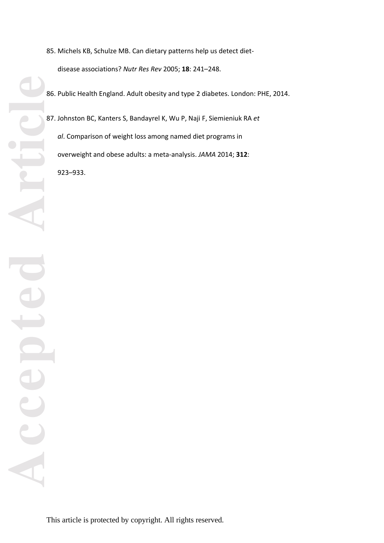- 85. Michels KB, Schulze MB. Can dietary patterns help us detect diet disease associations? *Nutr Res Rev* 2005; **18**: 241 –248.
- 86. Public Health England. Adult obesity and type 2 diabetes. London : PHE, 2014.
- 87. Johnston BC, Kanters S, Bandayrel K, Wu P, Naji F, Siemieniuk RA *et al*. Comparison of weight loss among named diet programs in overweight and obese adults: a meta -analysis. *JAMA* 2014; **312**: 923 – 933.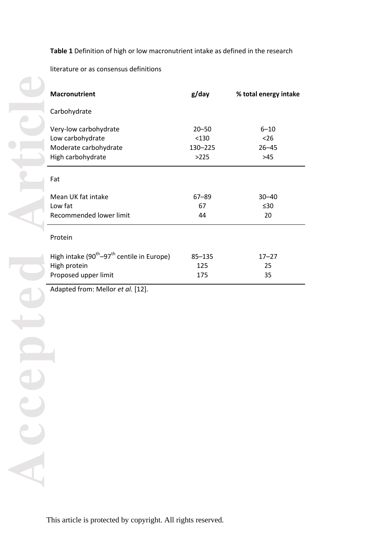# **Table 1** Definition of high or low macronutrient intake as defined in the research

literature or as consensus definitions

| <b>Macronutrient</b>                                                                        | g/day                                 | % total energy intake                  |
|---------------------------------------------------------------------------------------------|---------------------------------------|----------------------------------------|
| Carbohydrate                                                                                |                                       |                                        |
| Very-low carbohydrate<br>Low carbohydrate<br>Moderate carbohydrate<br>High carbohydrate     | $20 - 50$<br>< 130<br>130-225<br>>225 | $6 - 10$<br>$26$<br>$26 - 45$<br>$>45$ |
| Fat                                                                                         |                                       |                                        |
| Mean UK fat intake<br>Low fat<br>Recommended lower limit                                    | $67 - 89$<br>67<br>44                 | $30 - 40$<br>$\leq 30$<br>20           |
| Protein                                                                                     |                                       |                                        |
| High intake $(90^{th} - 97^{th}$ centile in Europe)<br>High protein<br>Proposed upper limit | $85 - 135$<br>125<br>175              | $17 - 27$<br>25<br>35                  |

Adapted from: Mellor *et al.* [12] .

ACCODIO APTE PIPIED Acce This article is protected by copyright. All rights reserved.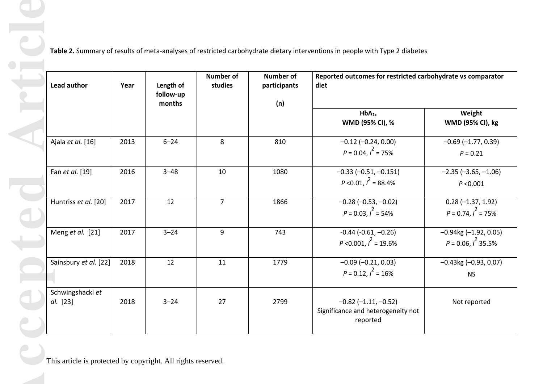| Lead author                  | Year | Length of<br>follow-up<br>months | <b>Number of</b><br>studies | <b>Number of</b><br>participants<br>(n) | Reported outcomes for restricted carbohydrate vs comparator<br>diet        |                                                      |
|------------------------------|------|----------------------------------|-----------------------------|-----------------------------------------|----------------------------------------------------------------------------|------------------------------------------------------|
|                              |      |                                  |                             |                                         | $HbA_{1c}$<br>WMD (95% CI), %                                              | Weight<br><b>WMD (95% CI), kg</b>                    |
| Ajala et al. [16]            | 2013 | $6 - 24$                         | 8                           | 810                                     | $-0.12$ $(-0.24, 0.00)$<br>$P = 0.04, I^2 = 75\%$                          | $-0.69$ $(-1.77, 0.39)$<br>$P = 0.21$                |
| Fan et al. [19]              | 2016 | $3 - 48$                         | 10                          | 1080                                    | $-0.33$ $(-0.51, -0.151)$<br>$P < 0.01, I^2 = 88.4\%$                      | $-2.35 (-3.65, -1.06)$<br>P < 0.001                  |
| Huntriss et al. [20]         | 2017 | 12                               | $\overline{7}$              | 1866                                    | $-0.28$ ( $-0.53$ , $-0.02$ )<br>$P = 0.03, I^2 = 54\%$                    | $0.28 (-1.37, 1.92)$<br>$P = 0.74, I^2 = 75\%$       |
| Meng et al. [21]             | 2017 | $3 - 24$                         | 9                           | 743                                     | $-0.44$ $(-0.61, -0.26)$<br>$P < 0.001, l^2 = 19.6\%$                      | $-0.94$ kg $(-1.92, 0.05)$<br>$P = 0.06, I^2 35.5\%$ |
| Sainsbury et al. [22]        | 2018 | 12                               | 11                          | 1779                                    | $-0.09$ $(-0.21, 0.03)$<br>$P = 0.12, I^2 = 16\%$                          | $-0.43$ kg $(-0.93, 0.07)$<br><b>NS</b>              |
| Schwingshackl et<br>al. [23] | 2018 | $3 - 24$                         | 27                          | 2799                                    | $-0.82$ $(-1.11, -0.52)$<br>Significance and heterogeneity not<br>reported | Not reported                                         |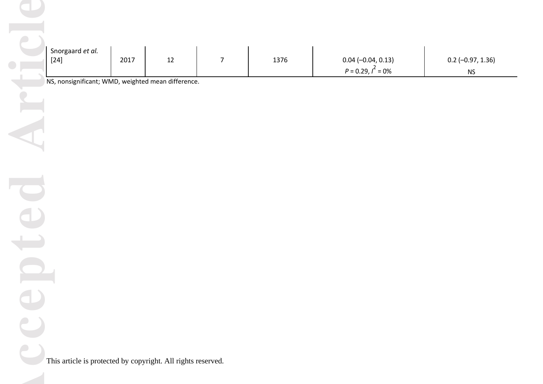|            | Snorgaard et al.<br>$[24]$                                   | 2017 | $12\,$ | $\overline{7}$ | 1376 | $0.04 (-0.04, 0.13)$<br>$P = 0.29, I^2 = 0\%$ | $0.2$ (-0.97, 1.36)<br>$\mathsf{NS}\xspace$ |
|------------|--------------------------------------------------------------|------|--------|----------------|------|-----------------------------------------------|---------------------------------------------|
|            | NS, nonsignificant; WMD, weighted mean difference.           |      |        |                |      |                                               |                                             |
|            |                                                              |      |        |                |      |                                               |                                             |
|            |                                                              |      |        |                |      |                                               |                                             |
|            |                                                              |      |        |                |      |                                               |                                             |
|            |                                                              |      |        |                |      |                                               |                                             |
|            |                                                              |      |        |                |      |                                               |                                             |
|            |                                                              |      |        |                |      |                                               |                                             |
|            |                                                              |      |        |                |      |                                               |                                             |
|            |                                                              |      |        |                |      |                                               |                                             |
| $\epsilon$ |                                                              |      |        |                |      |                                               |                                             |
|            | This article is protected by copyright. All rights reserved. |      |        |                |      |                                               |                                             |
|            |                                                              |      |        |                |      |                                               |                                             |
|            |                                                              |      |        |                |      |                                               |                                             |

epter